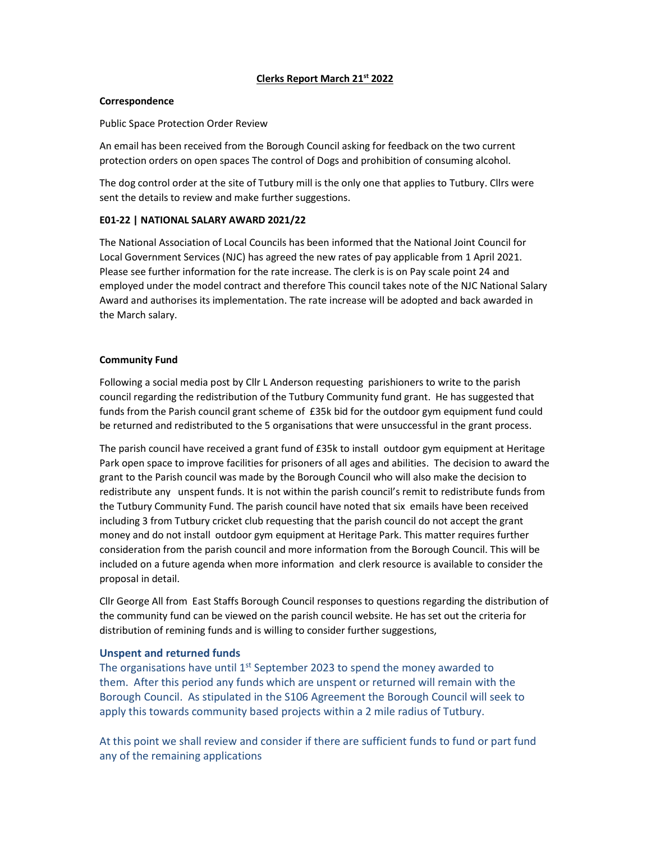# Clerks Report March 21st 2022

#### Correspondence

Public Space Protection Order Review

An email has been received from the Borough Council asking for feedback on the two current protection orders on open spaces The control of Dogs and prohibition of consuming alcohol.

The dog control order at the site of Tutbury mill is the only one that applies to Tutbury. Cllrs were sent the details to review and make further suggestions.

# E01-22 | NATIONAL SALARY AWARD 2021/22

The National Association of Local Councils has been informed that the National Joint Council for Local Government Services (NJC) has agreed the new rates of pay applicable from 1 April 2021. Please see further information for the rate increase. The clerk is is on Pay scale point 24 and employed under the model contract and therefore This council takes note of the NJC National Salary Award and authorises its implementation. The rate increase will be adopted and back awarded in the March salary.

### Community Fund

Following a social media post by Cllr L Anderson requesting parishioners to write to the parish council regarding the redistribution of the Tutbury Community fund grant. He has suggested that funds from the Parish council grant scheme of £35k bid for the outdoor gym equipment fund could be returned and redistributed to the 5 organisations that were unsuccessful in the grant process.

The parish council have received a grant fund of £35k to install outdoor gym equipment at Heritage Park open space to improve facilities for prisoners of all ages and abilities. The decision to award the grant to the Parish council was made by the Borough Council who will also make the decision to redistribute any unspent funds. It is not within the parish council's remit to redistribute funds from the Tutbury Community Fund. The parish council have noted that six emails have been received including 3 from Tutbury cricket club requesting that the parish council do not accept the grant money and do not install outdoor gym equipment at Heritage Park. This matter requires further consideration from the parish council and more information from the Borough Council. This will be included on a future agenda when more information and clerk resource is available to consider the proposal in detail.

Cllr George All from East Staffs Borough Council responses to questions regarding the distribution of the community fund can be viewed on the parish council website. He has set out the criteria for distribution of remining funds and is willing to consider further suggestions,

### Unspent and returned funds

The organisations have until  $1<sup>st</sup>$  September 2023 to spend the money awarded to them. After this period any funds which are unspent or returned will remain with the Borough Council. As stipulated in the S106 Agreement the Borough Council will seek to apply this towards community based projects within a 2 mile radius of Tutbury.

At this point we shall review and consider if there are sufficient funds to fund or part fund any of the remaining applications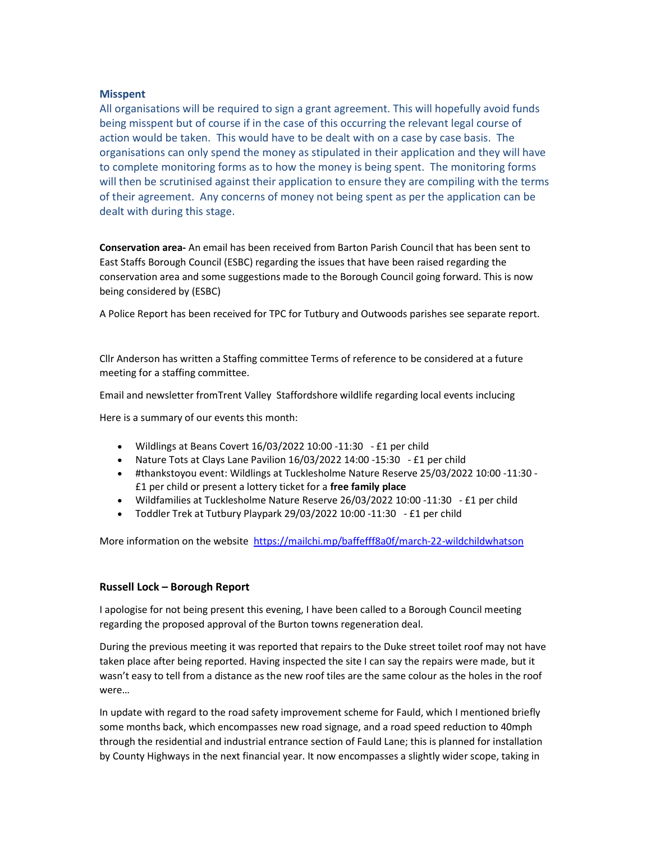### Misspent

All organisations will be required to sign a grant agreement. This will hopefully avoid funds being misspent but of course if in the case of this occurring the relevant legal course of action would be taken. This would have to be dealt with on a case by case basis. The organisations can only spend the money as stipulated in their application and they will have to complete monitoring forms as to how the money is being spent. The monitoring forms will then be scrutinised against their application to ensure they are compiling with the terms of their agreement. Any concerns of money not being spent as per the application can be dealt with during this stage.

Conservation area- An email has been received from Barton Parish Council that has been sent to East Staffs Borough Council (ESBC) regarding the issues that have been raised regarding the conservation area and some suggestions made to the Borough Council going forward. This is now being considered by (ESBC)

A Police Report has been received for TPC for Tutbury and Outwoods parishes see separate report.

Cllr Anderson has written a Staffing committee Terms of reference to be considered at a future meeting for a staffing committee.

Email and newsletter fromTrent Valley Staffordshore wildlife regarding local events inclucing

Here is a summary of our events this month:

- Wildlings at Beans Covert 16/03/2022 10:00 -11:30 £1 per child
- Nature Tots at Clays Lane Pavilion 16/03/2022 14:00 -15:30 £1 per child
- #thankstoyou event: Wildlings at Tucklesholme Nature Reserve 25/03/2022 10:00 -11:30 £1 per child or present a lottery ticket for a free family place
- Wildfamilies at Tucklesholme Nature Reserve 26/03/2022 10:00 -11:30 £1 per child
- Toddler Trek at Tutbury Playpark 29/03/2022 10:00 -11:30 £1 per child

More information on the website https://mailchi.mp/baffefff8a0f/march-22-wildchildwhatson

# Russell Lock – Borough Report

I apologise for not being present this evening, I have been called to a Borough Council meeting regarding the proposed approval of the Burton towns regeneration deal.

During the previous meeting it was reported that repairs to the Duke street toilet roof may not have taken place after being reported. Having inspected the site I can say the repairs were made, but it wasn't easy to tell from a distance as the new roof tiles are the same colour as the holes in the roof were…

In update with regard to the road safety improvement scheme for Fauld, which I mentioned briefly some months back, which encompasses new road signage, and a road speed reduction to 40mph through the residential and industrial entrance section of Fauld Lane; this is planned for installation by County Highways in the next financial year. It now encompasses a slightly wider scope, taking in